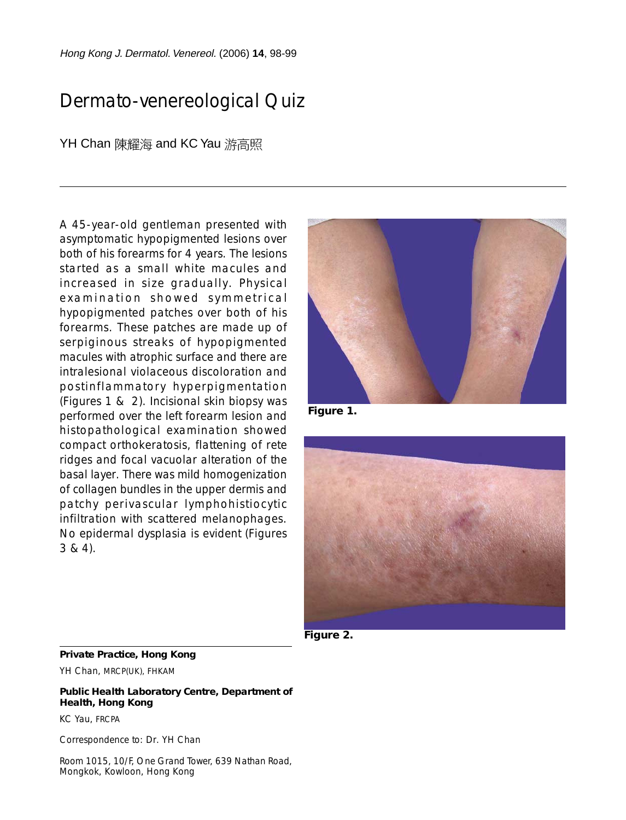Hong Kong J. Dermatol.Venereol. (2006) **14**, 98-99

# Dermato-venereological Quiz

### YH Chan 陳耀海 and KC Yau 游高照

A 45-year-old gentleman presented with asymptomatic hypopigmented lesions over both of his forearms for 4 years. The lesions started as a small white macules and increased in size gradually. Physical examination showed symmetrical hypopigmented patches over both of his forearms. These patches are made up of serpiginous streaks of hypopigmented macules with atrophic surface and there are intralesional violaceous discoloration and postinflammatory hyperpigmentation (Figures 1 & 2). Incisional skin biopsy was performed over the left forearm lesion and histopathological examination showed compact orthokeratosis, flattening of rete ridges and focal vacuolar alteration of the basal layer. There was mild homogenization of collagen bundles in the upper dermis and patchy perivascular lymphohistiocytic infiltration with scattered melanophages. No epidermal dysplasia is evident (Figures 3 & 4).



**Figure 1.**



**Figure 2.**

#### **Private Practice, Hong Kong**

YH Chan, MRCP(UK), FHKAM

#### **Public Health Laboratory Centre, Department of Health, Hong Kong**

KC Yau, FRCPA

Correspondence to: Dr. YH Chan

Room 1015, 10/F, One Grand Tower, 639 Nathan Road, Mongkok, Kowloon, Hong Kong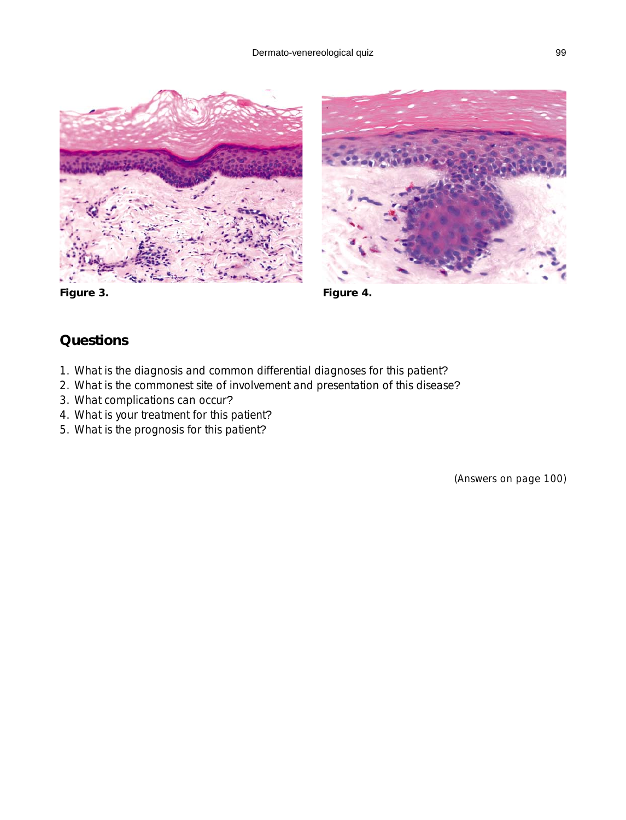



**Figure 3.**

**Figure 4.**

## **Questions**

- 1. What is the diagnosis and common differential diagnoses for this patient?
- 2. What is the commonest site of involvement and presentation of this disease?
- 3. What complications can occur?
- 4. What is your treatment for this patient?
- 5. What is the prognosis for this patient?

(Answers on page 100)